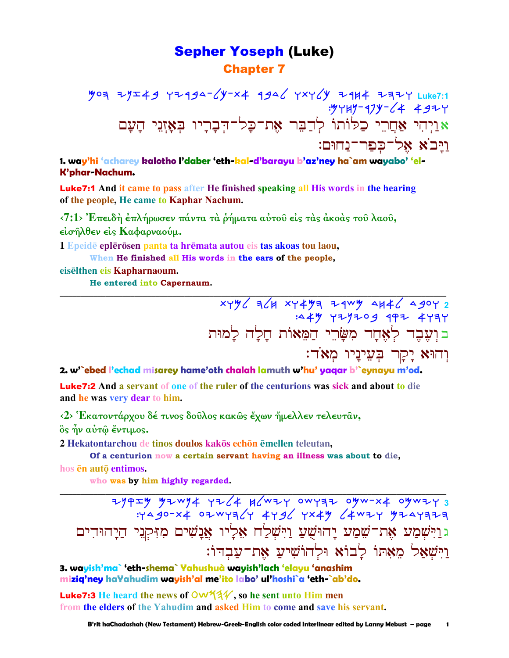## **Sepher Yoseph (Luke) Chapter 7**

 $\frac{1}{2}$ : 447-474-64 4924 אַוַיִּהִי אַחֲרֵי בַלּוֹתוֹ לְדַבֵּר אֶת־כָּל־הְבָרָיו בְּאָזְנֵי הָעָם ויבא אל־כפר־נחוּם:

1. way'hi 'acharey kalotho l'daber 'eth-kal-d'barayu b'az'ney ha`am wayabo' 'el-K'phar-Nachum.

**Luke7:1** And it came to pass after He finished speaking all His words in the hearing of the people, He came to Kaphar Nachum.

<7:1> Έπειδή έπλήρωσεν πάντα τα ρήματα αύτου είς τας ακοάς του λαου, είσηλθεν είς Καφαρναούμ.

1 Epeidē eplērōsen panta ta hrēmata autou eis tas akoas tou laou, When He finished all His words in the ears of the people,

eiselthen eis Kapharnaoum. He entered into Capernaum.

> $xyy'$  a  $4$  xy  $4y$  a  $x + y$  a  $4w$  a  $44$  a  $490$   $x$   $x$ :44 YZYZ09 9PZ 4Y3Y בוְעֶבֶד לְאֶחָד מִשָּׂרֵי הַמֵּאוֹת חַלָה למוּת וְהוּא יָקָר בִּעֵינָיו מְאֹד:

### 2. w'ebed l'echad misarey hame'oth chalah lamuth w'hu' yaqar b' eynayu m'od.

**Luke7:2** And a servant of one of the ruler of the centurions was sick and about to die and he was very dear to him.

<2> Έκατοντάρχου δέ τινος δούλος κακώς έχων ήμελλεν τελευταν,

ὃς ἦν αὐτῷ <del>ἔ</del>ντιμος.

2 Hekatontarchou de tinos doulos kakōs echōn ēmellen teleutan,

Of a centurion now a certain servant having an illness was about to die, hos en auto entimos.

who was by him highly regarded.

ETHEW WO THEYWO HEW YOU'LY A LOUGE WATHLE ג וַיִּשְׁמַע אֶת־שָׁמַע יַהוּשִׁעַ וַיִּשְׁלַח אֶלַיו אֲנַשִׁים מִזִּקְנֵי הַיַהוּדִים וישאל מאתו לבוא ולהושיע את־עבדו:

3. wavish'ma` 'eth-shema` Yahushuà wavish'lach 'elavu 'anashim miziq'ney haYahudim wayish'al me'ito labo' ul'hoshi`a 'eth-`ab'do.

**Luke7:3** He heard the news of  $\circlearrowleft\sqrt{34}$ , so he sent unto Him men from the elders of the Yahudim and asked Him to come and save his servant.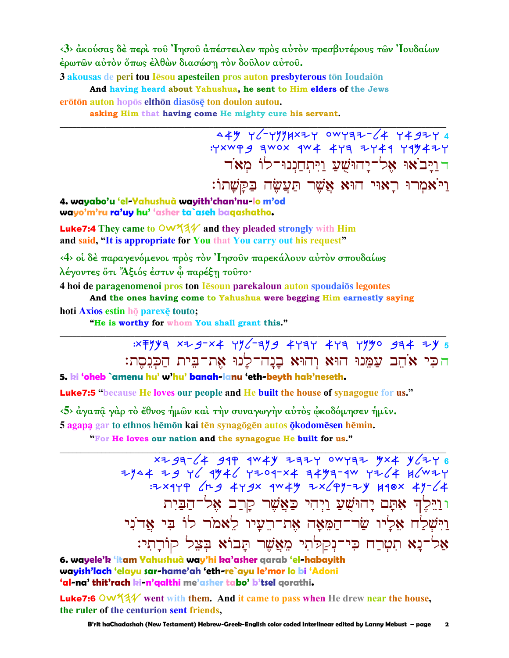$\langle 3 \rangle$  άκούσας δέ περί του 'Ιησου άπέστειλεν πρός αύτον πρεσβυτέρους των 'Ιουδαίων έρωτῶν αὐτὸν ὅπως ἐλθὼν διασώση τὸν δοῦλον αὐτοῦ.

3 akousas de peri tou lesou apesteilen pros auton presbyterous ton Ioudaion And having heard about Yahushua, he sent to Him elders of the Jews

erōtōn auton hopōs elthōn diasōsē ton doulon autou.

asking Him that having come He mighty cure his servant.

 $449$   $7$   $-79994$  $x7$   $y$  ow  $77 - 4$   $7497$ : YXWP 4 3WOX 4W4 4Y3 ZY44 Y444+Y דוַיַּב<sup>ֹ</sup>אוּ אָל־יַחוּשִׁעַ וַיִּתְחַנְנוּ־לוֹ מְאֹד ַיַּאֲמְרוּ רָאוּי הוּא אֲשֶׁר תַּעֲשֶׂה בַּקַּשָׁתוֹ:

4. wayabo'u 'el-Yahushuà wayith'chan'nu-lo m'od wayo'm'ru ra'uy hu' 'asher ta`aseh baqashatho.

**Luke7:4** They came to  $\circlearrowleft\sqrt{34}$  and they pleaded strongly with Him and said, "It is appropriate for You that You carry out his request"

<4> οί δέ παραγενόμενοι πρός τον Ίησούν παρεκάλουν αύτον σπουδαίως λέγοντες ὅτι Άξιός ἐστιν ώ παρέξη τοῦτο·

4 hoi de paragenomenoi pros ton lesoun parekaloun auton spoudaios legontes

And the ones having come to Yahushua were begging Him earnestly saying hoti Axios estin họ parexe touto;

"He is worthy for whom You shall grant this."

הכי אֹהב עמנוּ הוּא והוּא בנה־לנוּ את־בית הכנסת:

5. ki 'oheb `amenu hu' w'hu' banah-lanu 'eth-beyth hak'neseth.

Luke7:5 "because He loves our people and He built the house of synagogue for us."

<5> άγαπα γάρ το έθνος ήμων και την συναγωγήν αύτος ώκοδόμησεν ήμιν.

5 agapa gar to ethnos hēmōn kai tēn synagōgēn autos ōkodomēsen hēmin.

"For He loves our nation and the synagogue He built for us."

 $x+37-(4)$  399 9W4Y 2774 0WY77 7X4 Y (24 2944 79 76 1946 7709-24 7499-44 7946 7464<br>27-44 3494 44-497×4 4404 7464 4494 7464 וּוַיֵּלֵךְ אִתָּם יָהוּשָׁעַ וַיִּהִי כַּאֲשֶׁר קַרַב אֵל־הַבַּיִת וַיִּשְׁלַח אָלֵיו שַׂר־הַמֶּאָה אָת־רֵעַיו לֵאמֹר לוֹ בִּי אֲדֹנִי אַל־נָא תִטְרַח כִּי־נְקַלֹּתִי מֶאֲשֶׁר תַּבוֹא בִּצֵל קוֹרַתִי:

6. wayele'k 'itam Yahushuà way'hi ka'asher qarab 'el-habayith wayish'lach 'elayu sar-hame'ah 'eth-re`ayu le'mor lo bi 'Adoni 'al-na' thit'rach ki-n'galthi me'asher tabo' b'tsel gorathi.

**Luke7:6** OW $\frac{4}{4}$  went with them. And it came to pass when He drew near the house, the ruler of the centurion sent friends.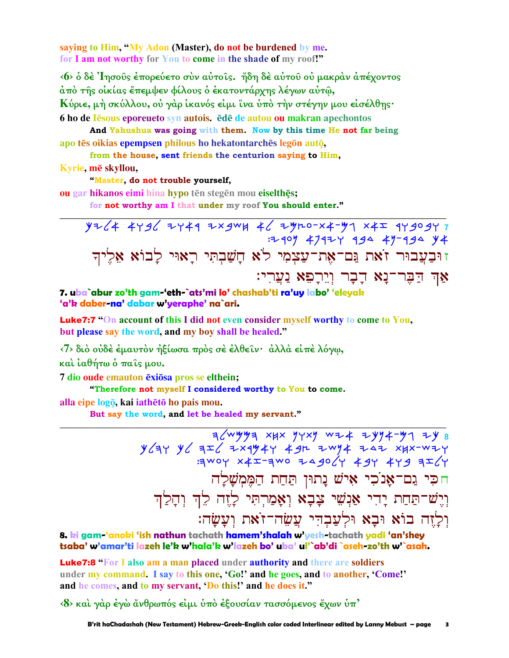saying to Him, "My Adon (Master), do not be burdened by me. for I am not worthy for You to come in the shade of my roof!"

<6> ο δέ 'Iησούς έπορεύετο σύν αύτοις. ήδη δέ αύτου ού μακράν άπέχοντος άπὸ τῆς οἰκίας ἔπεμψεν φίλους ὁ ἑκατοντάρχης λέγων αὐτῷ, Κύριε, μή σκύλλου, ού γάρ ίκανός είμι ίνα ύπό τήν στέγην μου είσέλθης· 6 ho de lesous eporeueto syn autois. Ede de autou ou makran apechontos

And Yahushua was going with them. Now by this time He not far being apo tēs oikias epempsen philous ho hekatontarchēs legōn autō,

from the house, sent friends the centurion saying to Him,

Kyrie, mē skyllou,

"Master, do not trouble yourself,

ou gar hikanos eimi hina hypo tēn stegēn mou eiselthēs;

for not worthy am I that under my roof You should enter."

 $y + 24$  4496 2449 2x9WH 46 2920-x4-91 x4I 9190947 : 2409 4742Y 494 49-494 Y4 זוּבַעֲבוּר זֹאת נַּם־אֶת־עַצְמִי לֹא חָשַׁבְתִּי רָאוּי לָבוֹא אֵלֶיךָ אַךְ הַבֶּר־נָא דָבָר וְיֵרָפָא נַעֲרִי:

7. uba`abur zo'th gam-'eth-`ats'mi lo' chashab'ti ra'uy labo' 'eleyak 'a'k daber-na' dabar w'yeraphe' na`ari.

Luke7:7 "On account of this I did not even consider myself worthy to come to You, but please say the word, and my boy shall be healed."

<7> διὸ οὐδε εμαυτὸν ἠξίωσα πρὸς σε ελθεῖν· ἀλλὰ εἰπε λόγω,

και ιαθήτω ο παίς μου.

7 dio oude emauton exiosa pros se elthein;

"Therefore not myself I considered worthy to You to come.

alla eipe logō, kai iathētō ho pais mou.

But say the word, and let be healed my servant."

 $7/2$   $4/2$   $4/3$   $4/4$   $4/4$   $4/4$   $4/4$   $4/4$   $4/4$   $4/4$   $4/4$   $4/4$   $4/4$   $4/4$   $4/4$   $4/4$   $4/4$   $4/4$   $4/4$   $4/4$   $4/4$   $4/4$   $4/4$   $4/4$   $4/4$   $4/4$   $4/4$   $4/4$   $4/4$   $4/4$   $4/4$   $4/4$   $4/4$   $4/4$   $4/4$   $4/4$   $4/4$ חכִּי גַם־אָנֹכִי אִישׁ נָתוּן תַּחַת הַמֶּמִשָּׁלָָה וְיֶשׁ־תַּחַת יָדִי אַּנְשִׁי צָבָא וְאָמַרְתִּי לְזֶה לֵךְ וְהָלַךְ וִלְזָה בוֹא וּבָא וּלְעַבְדִי עֲשֶׂה־זֹאת וְעֲשָׂה:

8. ki gam-'anoki 'ish nathun tachath hamem'shalah w'yesh-tachath yadi 'an'shey tsaba' w'amar'ti lazeh le'k w'hala'k w'lazeh bo' uba' ul'`ab'di `aseh-zo'th w'`asah.

**Luke7:8** "For I also am a man placed under authority and there are soldiers under my command. I say to this one, 'Go!' and he goes, and to another, 'Come!' and he comes, and to my servant. 'Do this!' and he does it."

 $\langle 8 \rangle$  και γάρ έγω άνθρωπός είμι υπό έξουσίαν τασσόμενος έχων υπ'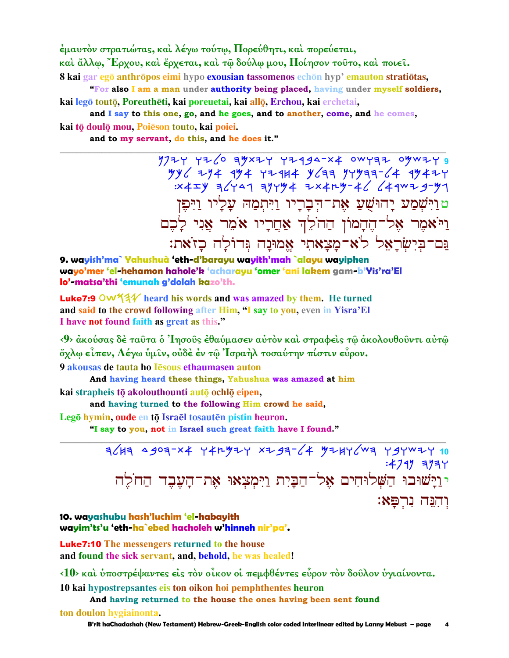έμαυτὸν στρατιώτας, καὶ λέγω τούτω, Πορεύθητι, καὶ πορεύεται, καὶ ἄλλω, "Έρχου, καὶ ἔρχεται, καὶ τῷ δούλῳ μου, Ποίησον τοῦτο, καὶ ποιεῖ. 8 kai gar egō anthrōpos eimi hypo exousian tassomenos echōn hyp' emauton stratiōtas,

"For also I am a man under authority being placed, having under myself soldiers, kai legō toutō, Poreuthēti, kai poreuetai, kai allō, Erchou, kai erchetai,

and I say to this one, go, and he goes, and to another, come, and he comes, kai tō doulō mou, Poiēson touto, kai poiei.

and to my servant, do this, and he does it."

 $1774$   $776$   $3527$   $77994-x4$  owraz oywirg ט וַיִּשְׁמַע יָהוּשֶׁעַ אָת־הִבָרְיו וַיִּתְמַה עָלְיו וַיִּפִן וַיֹּאמֶר אָל־הֵהָמוֹן הַהֹלֵךְ אַחֲרָיו אֹמֶר אֲנִי לָכֶם ַּנַם־בִּיְשַׂרֲאָל לֹא־מַצָּאתִי אֱמוּנַה גְּדוֹלַה כָזֹאת:

9. wayish'ma` Yahushuà 'eth-d'barayu wayith'mah `alayu wayiphen wayo'mer 'el-hehamon hahole'k 'acharayu 'omer 'ani lakem gam-b'Yis'ra'El lo'-matsa'thi 'emunah g'dolah kazo'th.

**Luke7:9** OW  $4\frac{1}{4}$  heard his words and was amazed by them. He turned and said to the crowd following after Him, "I say to you, even in Yisra'El I have not found faith as great as this."

<9> άκούσας δέ ταυτα ο Ίησους έθαύμασεν αύτον και στραφείς τω άκολουθουντι αύτω ὄχλῳ εἶπεν, Λέγω ὑμῖν, οὐδὲ ἐν τῷ Ἰσραὴλ τοσαύτην πίστιν εὗρον.

9 akousas de tauta ho lesous ethaumasen auton

And having heard these things, Yahushua was amazed at him

kai strapheis tō akolouthounti autō ochlō eipen,

and having turned to the following Him crowd he said,

Legō hymin, oude en tō Israēl tosautēn pistin heuron.

"I say to you, not in Israel such great faith have I found."

 $76/19$  4309-x4 741447 x239-64 4247649 737427 10 :4749 ヨ 97 י וישובו השלוחים אל־הבית וימצאו את־העבד החלה והנה נרפא:

### 10. wayashubu hash'luchim 'el-habayith wayim'ts'u 'eth-ha`ebed hacholeh w'hinneh nir'pa'.

**Luke7:10** The messengers returned to the house and found the sick servant, and, behold, he was healed!

<10> και υποστρέψαντες είς τον οίκον οι πεμφθέντες εύρον τον δουλον υγιαίνοντα.

10 kai hypostrepsantes eis ton oikon hoi pemphthentes heuron

And having returned to the house the ones having been sent found ton doulon hygiainonta.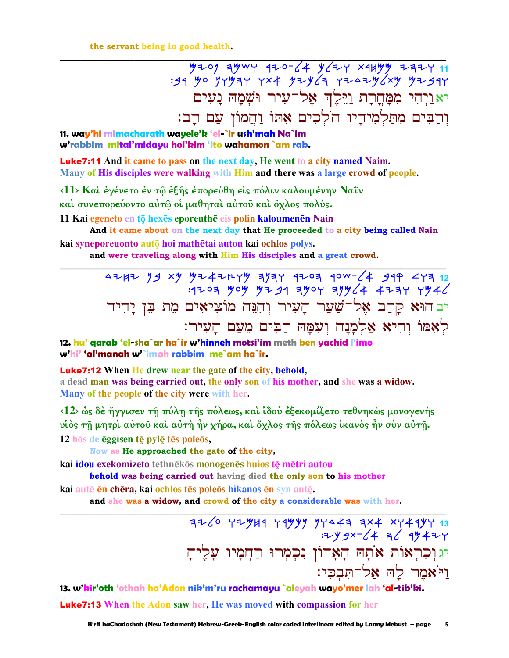the servant being in good health.

 $\frac{1}{2}$ יאַנֵיִהִי מִמָּחֲרָת וַיֵּלֵךְ אֵל־עִיר וּשָׁמָה נָעִים וְרַבִּים מְתַּלְמִידֵיו הֹלְכִים אָתּוֹ וַהֲמוֹן עַם רַב:

11. way'hi mimacharath wayele'k 'el-`ir ush'mah Na`im w'rabbim mital'midayu hol'kim 'ito wahamon `am rab.

**Luke7:11** And it came to pass on the next day, He went to a city named Naim. Many of His disciples were walking with Him and there was a large crowd of people.

<11> Καὶ ἐγένετο ἐν τῷ ἑξῆς ἐπορεύθη εἰς πόλιν καλουμένην Ναΐν

καὶ συνεπορεύοντο αὐτῷ οἱ μαθηταὶ αὐτοῦ καὶ ὄχλος πολύς.

11 Kai egeneto en tō hexēs eporeuthē eis polin kaloumenēn Nain

And it came about on the next day that He proceeded to a city being called Nain kai syneporeuonto auto hoi mathetai autou kai ochlos polys.

and were traveling along with Him His disciples and a great crowd.

4244 79 xy yz42ryy ayay 420a 90w-64 919 47a 12<br>4344 4234 4346 4046 924 404 604 19 יב הוּא קַרַב אֵל־שַׁעַר הָעִיר וְהִנֵּה מוֹצִיאִים מֵת בֵּן יָחִיד לְאָמוֹ וְהִיא אַלְמָנָה וְעִמָּהּ רַבִּים מֵעַם הָעִיר:

12. hu' garab 'el-sha`ar ha`ir w'hinneh motsi'im meth ben yachid l'imo w'hi' 'al'manah w'`imah rabbim me`am ha`ir.

**Luke7:12** When He drew near the gate of the city, behold,

a dead man was being carried out, the only son of his mother, and she was a widow. Many of the people of the city were with her.

<12> ώς δέ ήγγισεν τη πύλη της πόλεως, και ίδου έξεκομίζετο τεθνηκώς μονογενης υίδς τη μητρί αύτου καί αύτή ήν χήρα, καί όχλος της πόλεως ίκανδς ήν σύν αύτη. 12 hos de eggisen te pyle tes poleos,

Now as He approached the gate of the city,

kai idou exekomizeto tethnēkos monogenēs huios tē mētri autou behold was being carried out having died the only son to his mother

kai autē ēn chēra, kai ochlos tēs poleōs hikanos ēn syn autē.

and she was a widow, and crowd of the city a considerable was with her.

 $7726$  72949 74999 74444 74994 74944 74944 74944<br>7-xygx-64 76 49444 יגןְכִרְאוֹת אֹתָהּ הָאָדוֹן נִכְמְרוּ רַחֲמָיו עָלֶיהָ וַיֹּאמֶר לַהְ אֲל־תְּבִכְּי:

13. w'kir'oth 'othah ha'Adon nik'm'ru rachamayu `aleyah wayo'mer lah 'al-tib'ki. **Luke7:13** When the Adon saw her, He was moved with compassion for her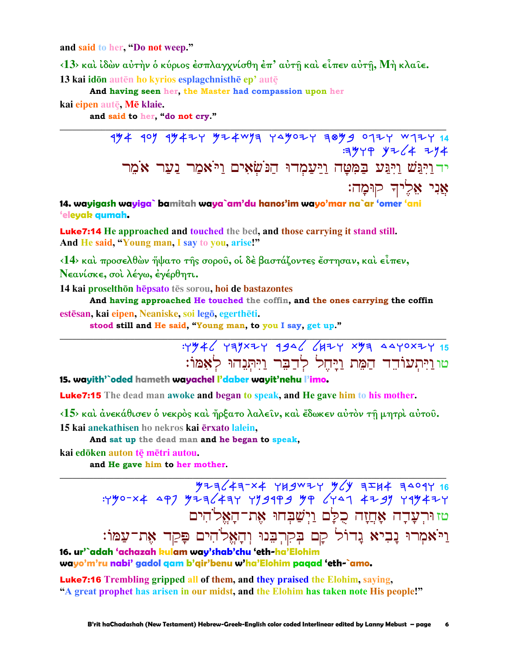and said to her, "Do not weep."

 $\langle 13 \rangle$  και ίδών αύτήν ο κύριος έσπλαγχνίσθη έπ' αύτη και είπεν αύτη, Μή κλαίε. 13 kai idon auten ho kyrios esplagchnisthe ep' aute

And having seen her, the Master had compassion upon her

kai eipen autē, Mē klaie.

and said to her, "do not cry."

194 109 19424 924 WH YAYOZY 3099 0124 W124 14  $7949$   $9764$   $794$ יר וַיְּגַּשׁ וַיִּגַּע בַּמְטָָה וַיַּעַמְדוּ הַנֹּשָׂאָים וַיּאָמַר נַעַר אֹמֵר אֲנִי אֵלֶיךָ קוּמָה:

14. wayigash wayiga` bamitah waya`am'du hanos'im wayo'mar na`ar 'omer 'eleyak qumah.

**Luke7:14** He approached and touched the bed, and those carrying it stand still. And He said, "Young man, I say to you, arise!"

<14> και προσελθών ήψατο τής σορού, οι δέ βαστάζοντες έστησαν, και είπεν, Νεανίσκε, σοι λέγω, έγέρθητι.

14 kai proselthon hepsato tes sorou, hoi de bastazontes

And having approached He touched the coffin, and the ones carrying the coffin estēsan, kai eipen, Neaniske, soi legō, egerthēti.

stood still and He said, "Young man, to you I say, get up."

: 4946 439x24 4946 6424 x93 4440x24 15 טוניתעודד המת ניחל לדבר ניתנהו לאמו:

15. wayith'`oded hameth wayachel l'daber wayit'nehu l'imo.

**Luke7:15** The dead man awoke and began to speak, and He gave him to his mother.

<15> και άνεκάθισεν ο νεκρός και ήρξατο λαλείν, και έδωκεν αύτον τη μητρι αύτου.

15 kai anekathisen ho nekros kai ērxato lalein,

And sat up the dead man and he began to speak,

kai edōken auton tē mētri autou.

and He gave him to her mother.

טזורעדה אחזה כלם וישבחו את־האלהים וַיֹּאמְרוּ נָבִיא גָדוֹל קָם בְקִרְבֵּנוּ וְהָאֱלֹהִים פָּקַד אֶת־עַמּוֹ: 16. ur'`adah 'achazah kulam way'shab'chu 'eth-ha'Elohim wayo'm'ru nabi' gadol gam b'gir'benu w'ha'Elohim pagad 'eth-`amo.

**Luke7:16** Trembling gripped all of them, and they praised the Elohim, saying, "A great prophet has arisen in our midst, and the Elohim has taken note His people!"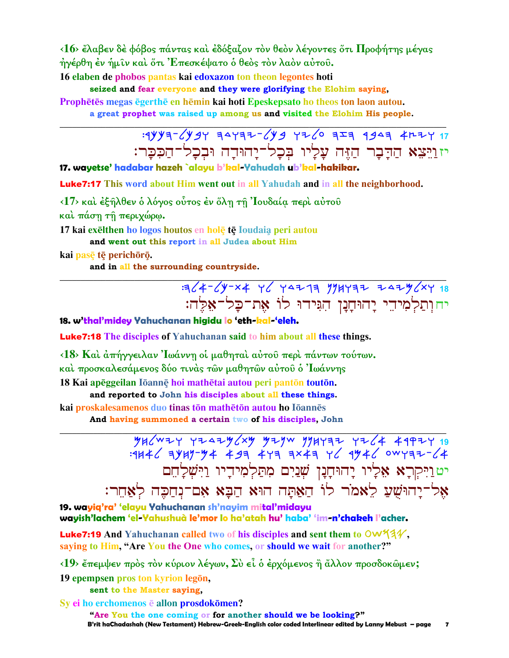<16> έλαβεν δε φόβος πάντας και εδόξαζον τον θεον λέγοντες ότι Προφήτης μέγας ήγέρθη ἐν ἡμῖν καὶ ὅτι Ἐπεσκέψατο ὁ θεὸς τὸν λαὸν αὐτοῦ.

16 elaben de phobos pantas kai edoxazon ton theon legontes hoti

seized and fear everyone and they were glorifying the Elohim saying,

Prophētēs megas ēgerthē en hēmin kai hoti Epeskepsato ho theos ton laon autou. a great prophet was raised up among us and visited the Elohim His people.

## יזוַיִּצֵא הַדֵּבָר הַזֶּה עַלַיו בִּכַל־יַהוּדָה וּבִכָל־הַכִּכַּר:

17. wayetse' hadabar hazeh `alayu b'kal-Yahudah ub'kal-hakikar.

**Luke7:17** This word about Him went out in all Yahudah and in all the neighborhood.

<17> και έξηλθεν ο λόγος ούτος έν όλη τη Ιουδαία περι αύτου

και πάση τη περιχώρω.

17 kai exelthen ho logos houtos en holę tę Ioudaią peri autou

and went out this report in all Judea about Him

kai pasē tē perichōrō.

and in all the surrounding countryside.

## $-3(4-(9-x4) - 4(9x+17))$ יחותלמידי יהותנו הגידו לו את־כל־אלה:

18. w'thal'midey Yahuchanan higidu lo 'eth-kal-'eleh.

**Luke7:18** The disciples of Yahuchanan said to him about all these things.

<18> Και άπήγγειλαν 'Ιωάννη οι μαθηται αύτου περι πάντων τούτων. και προσκαλεσάμενος δύο τινας των μαθητων αυτου ο Ίωάννης 18 Kai apēggeilan Iōannē hoi mathētai autou peri pantōn toutōn.

and reported to John his disciples about all these things.

kai proskalesamenos duo tinas tōn mathētōn autou ho Iōannēs

And having summoned a certain two of his disciples, John

 $\frac{1}{2}$  =  $\frac{1}{2}$  =  $\frac{1}{2}$  =  $\frac{1}{2}$  =  $\frac{1}{2}$  =  $\frac{1}{2}$  =  $\frac{1}{2}$  =  $\frac{1}{2}$  =  $\frac{1}{2}$  =  $\frac{1}{2}$  =  $\frac{1}{2}$  =  $\frac{1}{2}$  =  $\frac{1}{2}$  =  $\frac{1}{2}$  =  $\frac{1}{2}$  =  $\frac{1}{2}$  =  $\frac{1}{2}$  =  $\frac{1}{2}$  =  $\frac{1$ יט וַיִּקְרָא אֶלְיוּ יָהוּחָנָן שִׁנַיִם מִתַּלְמִידִיוּ וַיִּשְׁלָחֵם אָל־יַהוּשָׁעַ לֵאמֹר לוֹ הַאַתַּה הוּא הַבָּא אָם־נְחַכֶּה לְאַחֵר:

19. wayiq'ra' 'elayu Yahuchanan sh'nayim mital'midayu wayish'lachem 'el-Yahushuà le'mor lo ha'atah hu' haba' 'im-n'chakeh l'acher.

Luke7:19 And Yahuchanan called two of his disciples and sent them to OW534, saving to Him. "Are You the One who comes, or should we wait for another?"

 $\langle 19 \rangle$  έπεμψεν πρός τον κύριον λέγων, Σύ εί ο έρχόμενος ή άλλον προσδοκώμεν;

19 epempsen pros ton kyrion legon.

sent to the Master saying,

Sy ei ho erchomenos e allon prosdokomen?

"Are You the one coming or for another should we be looking?" B'rit haChadashah (New Testament) Hebrew-Greek-English color coded Interlinear edited by Lanny Mebust – page  $\overline{7}$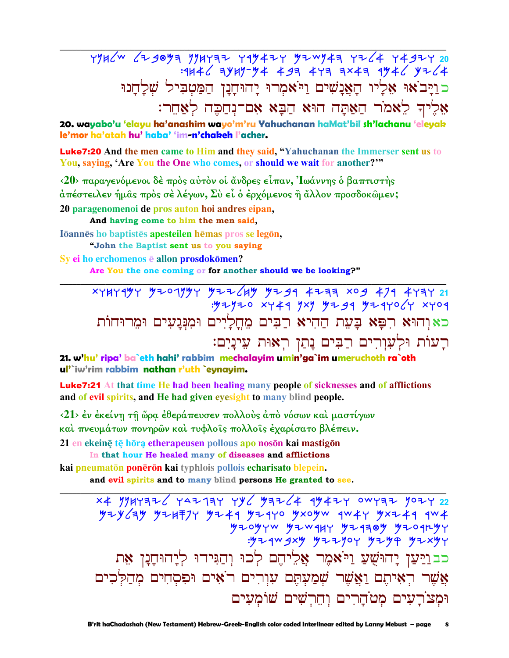$YYH\acute{C}W$   $\acute{C}Y$  30  $Y3$   $Y4Y37$   $Y4Y47$   $Y5W143$   $Y5W143$   $Y6Y437$   $Y20$  $19466$   $3947 - 94$   $493$   $493$   $3 \times 43$   $3946$   $9764$ כּוַיָּבֹאוּ אֶלְיו הָאֲנָשִׁים וַיֹּאמְרוּ יָהוּחָנָן הַמַּטִבִּיל שָׁלָחָנוּ אֱלֶיךְ לֵאמֹר הַאֲתָּה הוּא הַבָּא אִם־נְחַכֶּה לְאַחֵר:

20. wayabo'u 'elayu ha'anashim wayo'm'ru Yahuchanan haMat'bil sh'lachanu 'eleyak le'mor ha'atah hu' haba' 'im-n'chakeh l'acher.

**Luke7:20** And the men came to Him and they said, "Yahuchanan the Immerser sent us to You, saying, 'Are You the One who comes, or should we wait for another?"

<20> παραγενόμενοι δέ πρός αύτον οι άνδρες είπαν, Ιωάννης ο βαπτιστής άπέστειλεν ήμας πρὸς σὲ λέγων, Σὺ εἶ ὁ ἐρχόμενος ἢ ἄλλον προσδοκῶμεν; 20 paragenomenoi de pros auton hoi andres eipan,

And having come to him the men said,

Iōannēs ho baptistēs apesteilen hēmas pros se legōn,

"John the Baptist sent us to you saying

Sv ei ho erchomenos e allon prosdokomen?

Are You the one coming or for another should we be looking?"

xyhyqyy yzoqyyy yzz/hy yzgq 4ząą xog 479 4yąyay<br>yzy yzoq yzy yzda yzy yzda yzy yzoq כאוהוא רִפָּא בָּעֵת הַהִיא רַבִּים מֵחֲלֵיִים וּמִנְּגַעִים וּמִרוּחוֹת רַעוֹת וּלְעִוְרִים רַבִּים נַתַן רִאוּת עִינַיִם:

21. w'hu' ripa' ba`eth hahi' rabbim mechalayim umin'ga`im umeruchoth ra`oth ul'`iw'rim rabbim nathan r'uth `eynayim.

**Luke7:21** At that time He had been healing many people of sicknesses and of afflictions and of evil spirits, and He had given eyesight to many blind people.

<21> έν έκείνη τη ώρα έθεράπευσεν πολλούς άπό νόσων και μαστίγων και πνευμάτων πονηρών και τυφλοίς πολλοίς έχαρίσατο βλέπειν. 21 en ekeinē tē hōra etherapeusen pollous apo nosōn kai mastigōn

In that hour He healed many of diseases and afflictions kai pneumatōn ponērōn kai typhlois pollois echarisato blepein.

and evil spirits and to many blind persons He granted to see.

 $x4$  1147726 742777 746 47264 94427 0W772 1027 22  $444\sqrt{47}$  $y$ 20yyw y2wquy y2930y y20qryy  $.974W$  gxm mzzyor mzmp mzxmr כב וַיַּעֲן יָהוּשָׁעַ וַיֹּאמִר אֲלִיהֵם לְכוּ וְהַגִּידוּ לְיָהוּחָנָן אָת אֲשֶׁר רִאָיהָם וַאֲשֶׁר שִׁמַעְתֶּם עִוְרִים רֹאִים וּפִסְחִים מְהַלְכִים וּמצֹרעים מטׂהרים וחרשים שוֹמעים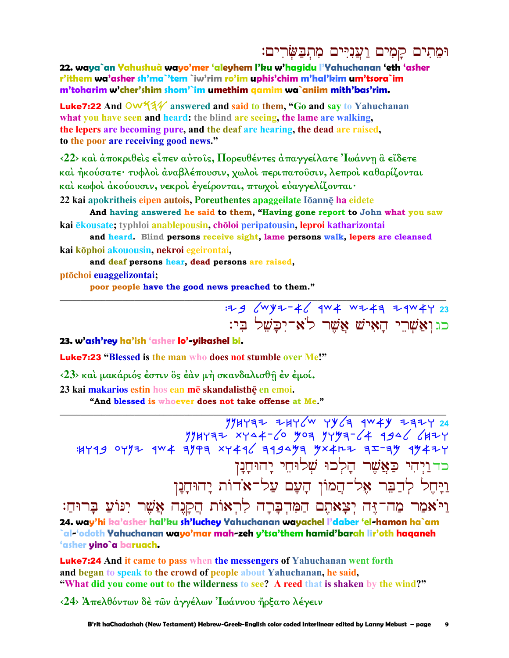### וּמֵתִים קַמִים וַעֲנִיִּים מִתְבַשָּׂרִים:

22. waya`an Yahushuà wayo'mer 'aleyhem l'ku w'hagidu l'Yahuchanan 'eth 'asher r'ithem wa'asher sh'ma`'tem `iw'rim ro'im uphis'chim m'hal'kim um'tsora`im m'toharim w'cher'shim shom'`im umethim qamim wa`aniim mith'bas'rim.

**Luke7:22** And  $\overline{O}W^2/4$  answered and said to them, "Go and say to Yahuchanan" what you have seen and heard: the blind are seeing, the lame are walking, the lepers are becoming pure, and the deaf are hearing, the dead are raised, to the poor are receiving good news."

<22> και άποκριθείς είπεν αύτοις, Πορευθέντες άπαγγείλατε Ιωάννη α είδετε καὶ ἠκούσατε· τυφλοὶ ἀναβλέπουσιν, χωλοὶ περιπατοῦσιν, λεπροὶ καθαρίζονται καὶ κωφοὶ ἀκούουσιν, νεκροὶ ἐγείρονται, πτωχοὶ εὐαγγελίζονται·

22 kai apokritheis eipen autois. Poreuthentes apaggeilate Iōannē ha eidete

And having answered he said to them, "Having gone report to John what you saw kai ekousate; typhloi anablepousin, chōloi peripatousin, leproi katharizontai

and heard. Blind persons receive sight, lame persons walk, lepers are cleansed kai kōphoi akouousin, nekroi egeirontai,

and deaf persons hear, dead persons are raised,

ptōchoi euaggelizontai:

poor people have the good news preached to them."

כגואַשְׁרֵי הַאִישׁ אֲשֶׁר לֹא־יִכַּשָׁל בִּי:

23. w'ash'rey ha'ish 'asher lo'-yikashel bi.

**Luke7:23 "Blessed is the man who does not stumble over Me!"** 

 $\langle 23 \rangle$  και μακάριός έστιν δς έαν μή σκανδαλισθη έν έμοί.

23 kai makarios estin hos ean mē skandalisthē en emoi.

"And blessed is whoever does not take offense at Me."

כד וַיִּהִי כַּ**אֲשֶׁר הַלְכוּ שִׁלוּ**חֵי יַהוּחַנַן וַיָּהֶל לְדַבִּר אֶל־הֲמוֹן הָעָם עַל־אֹדוֹת יָהוּחָנָן וַיֹּאמַר מַה־זֶּה יִצָאתֵם הַמִּדְבָרָה לְרִאוֹת הַקָנֵה אֲשֵׁר יִנּוֹעַ בָּרוּחַ: 24. way'hi ka'asher hal'ku sh'luchey Yahuchanan wayachel l'daber 'el-hamon ha`am

`al-'odoth Yahuchanan w**ayo'mar mah-zeh y'tsa'them hamid'barah** lir'oth **haganeh** 'asher yino'a baruach.

**Luke7:24** And it came to pass when the messengers of Yahuchanan went forth and began to speak to the crowd of people about Yahuchanan, he said, "What did you come out to the wilderness to see? A reed that is shaken by the wind?"

<24> Άπελθόντων δε τῶν ἀγγέλων 'Ιωάννου ἤρξατο λέγειν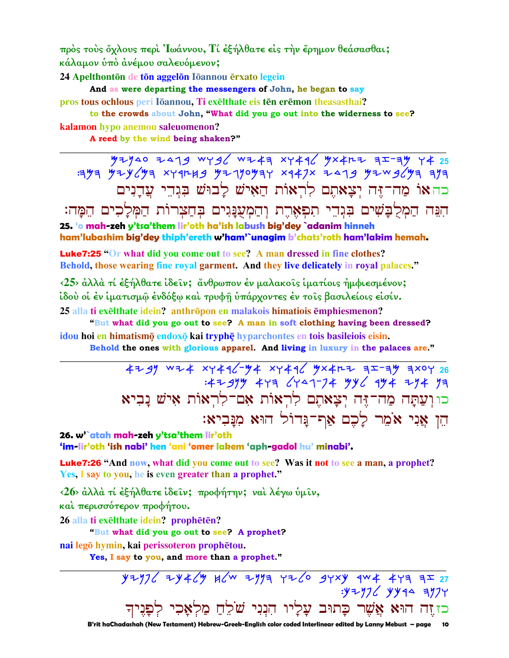πρός τους όχλους περί 'Ιωάννου, Τί έξήλθατε είς την έρημον θεάσασθαι; κάλαμον ύπὸ ἀνέμου σαλευόμενον;

24 Apelthonton de ton aggelon Ioannou erxato legein

And as were departing the messengers of John, he began to say pros tous ochlous peri Iōannou, Ti exelthate eis ten eremon theasasthai?

to the crowds about John, "What did you go out into the widerness to see?

kalamon hypo anemou saleuomenon?

A reed by the wind being shaken?"

 $42940$  7419 443 444 444 4446 4444 45 כהאו מה־זֶּה יְצָאתֶם לְרָאוֹת הַאִישׁ לַבוּשׁ בִּגְדֵי עֲדָנִים

הִנָּה הַמְלַבַּשִׁים בִּגְדֵי תִפְאָרֶת וְהַמְעָנַּגִים בִּחֲצְרוֹת הַמְּלַכְים הֵמֵה: 25. 'o mah-zeh v'tsa'them lir'oth ha'ish labush big'dey `adanim hinneh ham'lubashim big'dey thiph'ereth w'ham'`unagim b'chats'roth ham'lakim hemah.

**Luke7:25 "Or what did you come out to see? A man dressed in fine clothes?** Behold, those wearing fine royal garment. And they live delicately in royal palaces."

<25> άλλά τί έξήλθατε ίδειν; άνθρωπον έν μαλακοις ίματίοις ήμφιεσμένον; ίδοὺ οἱ ἐν ἱματισμῶ ἐνδόξω καὶ τρυφῆ ὑπάρχοντες ἐν τοῖς βασιλείοις εἰσίν. 25 alla ti exelthate idein? anthrōpon en malakois himatiois emphiesmenon?

"But what did you go out to see? A man in soft clothing having been dressed? idou hoi en himatismō endoxō kai tryphē hyparchontes en tois basileiois eisin.

Behold the ones with glorious apparel. And living in luxury in the palaces are."

 $479$   $W74$   $X749$   $Y49$   $X749$   $Y26$  $472999$   $473$   $443777$   $499$   $494$   $794$   $73$ כוועתה מה־זֶה יִצָאתֶם לְרְאוֹת אָם־לְרְאוֹת אִישׁ נַבִיא הו אני אֹמֵר לַכֵם אַף־נֵּדוֹל הוּא מִנָּבִיאָ:

26. w'atah mah-zeh y'tsa'them lir'oth 'im-lir'oth 'ish nabi' hen 'ani 'omer lakem 'aph-gadol hu' minabi'.

**Luke7:26** "And now, what did you come out to see? Was it not to see a man, a prophet? Yes, I say to you, he is even greater than a prophet."

<26> άλλά τι έξήλθατε ιδείν; προφήτην; ναι λέγω ύμιν,

καί περισσότερον προφήτου.

26 alla ti exelthate idein? propheten?

"But what did you go out to see? A prophet?

nai legō hymin, kai perissoteron prophētou.

Yes, I say to you, and more than a prophet."

 $y + y$ //  $y + \frac{y}{y} + \frac{y}{y}$  +  $\frac{y}{y} + \frac{y}{y} + \frac{y}{y} + \frac{y}{y} + \frac{y}{y} + \frac{y}{y} + \frac{z}{y}$  $: y = 172$   $y = 497$ כז זֶה הוּא אֲשֶׁר כָתוּב עָלְיו הִנְנִי שֹׁלֵחַ מַלְאָכִי לְפָנִיךְ

B'rit haChadashah (New Testament) Hebrew-Greek-English color coded Interlinear edited by Lanny Mebust - page 10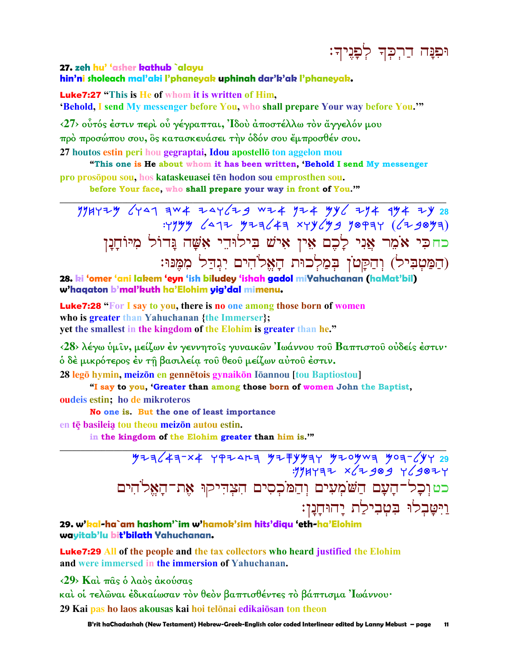# וּפִנָּה דַרִכִּךְ לְפָנִיךָ:

### 27. zeh hu' 'asher kathub `alayu hin'ni sholeach mal'aki l'phaneyak uphinah dar'k'ak l'phaneyak.

**Luke7:27** "This is He of whom it is written of Him.

'Behold, I send My messenger before You, who shall prepare Your way before You."

<27> ούτός έστιν περί ού γέγραπται, Ίδού άποστέλλω τον άγγελόν μου πρό προσώπου σου, ὃς κατασκευάσει την όδόν σου έμπροσθέν σου.

27 houtos estin peri hou gegraptai, Idou apostello ton aggelon mou

"This one is He about whom it has been written, 'Behold I send My messenger pro prosopou sou, hos kataskeuasei tēn hodon sou emprosthen sou.

before Your face, who shall prepare your way in front of You."

 $7999$   $(477$   $977/47$   $79/49$   $9997$ כחכי אֹמֶר אֲנִי לָכֶם אֵין אִישׁ בִּילוּדֵי אָשָׁה גַּדוֹל מִיּוֹחַנַן (הַמַּטִבִּיל) וְהַקַטֹן בִּמַלְכוּת הָאֱלֹהִים יִנְהַל מִמֶּנּוּ:

28. ki 'omer 'ani lakem 'eyn 'ish biludey 'ishah gadol miYahuchanan (haMat'bil) w'haqaton b'mal'kuth ha'Elohim yig'dal mimenu.

**Luke7:28** "For I say to you, there is no one among those born of women who is greater than Yahuchanan {the Immerser}; yet the smallest in the kingdom of the Elohim is greater than he."

 $\langle 28 \rangle$  λέγω ύμιν, μείζων έν γεννητοις γυναικών 'Ιωάννου του Βαπτιστου ούδείς έστιν· δ δέ μικρότερος έν τη βασιλεία του θεου μείζων αύτου έστιν.

28 legō hymin, meizōn en gennētois gynaikōn Iōannou [tou Baptiostou]

"I say to you, 'Greater than among those born of women John the Baptist,

**oudeis estin:** ho de mikroteros

No one is. But the one of least importance

en tē basileia tou theou meizon autou estin.

in the kingdom of the Elohim greater than him is."

כטוְכָל־הָעָם הַשֹּׂמְעִים וִהַמֹּכִסִים הִצִדִּיקוּ אֶת־הַאֵּלֹהִים וַיִּטַּבְלוּ בִּטְבִילַת יָהוּחָנָן:

29. w'kal-ha`am hashom'`im w'hamok'sim hits'diau 'eth-ha'Elohim wavitab'lu bit'bilath Yahuchanan.

**Luke7:29 All of the people and the tax collectors who heard justified the Elohim** and were immersed in the immersion of Yahuchanan.

<29> Και πας ο λαός ακούσας

καὶ οἱ τελῶναι ἐδικαίωσαν τὸν θεὸν βαπτισθέντες τὸ βάπτισμα Ἰωάννου· 29 Kai pas ho laos akousas kai hoi telonai edikaiosan ton theon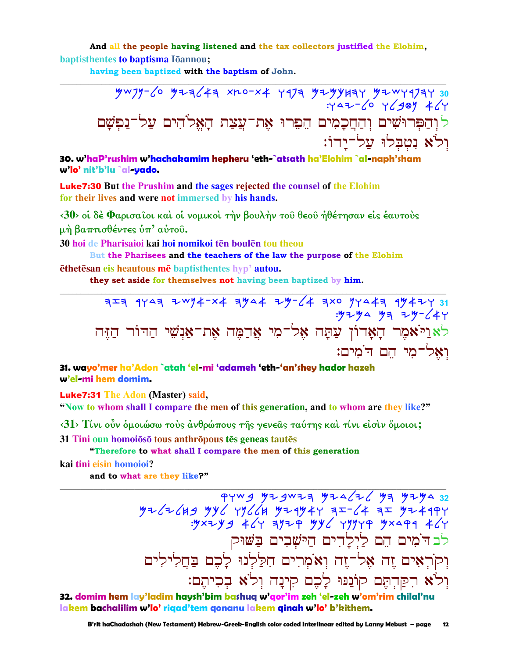And all the people having listened and the tax collectors justified the Elohim, **baptisthentes to baptisma Idannou:** 

having been baptized with the baptism of John.

30. w'haP'rushim w'hachakamim hepheru 'eth-`atsath ha'Elohim `al-naph'sham w'lo' nit'b'lu `al-vado.

**Luke7:30** But the Prushim and the sages rejected the counsel of the Elohim for their lives and were not immersed by his hands.

<30> οί δέ Φαρισαΐοι καί οί νομικοί την βουλήν του θεου ήθέτησαν είς έαυτούς μή βαπτισθέντες ύπ' αύτου.

30 hoi de Pharisaioi kai hoi nomikoi tēn boulēn tou theou

But the Pharisees and the teachers of the law the purpose of the Elohim ethetesan eis heautous me baptisthentes hyp' autou.

they set aside for themselves not having been baptized by him.

31. wayo'mer ha'Adon `atah 'el-mi 'adameh 'eth-'an'shey hador hazeh w'el-mi hem domim.

**Luke7:31 The Adon (Master) said,** 

"Now to whom shall I compare the men of this generation, and to whom are they like?"

 $\langle 31 \rangle$  Τίνι ούν ομοιώσω τους ανθρώπους της γενεας ταύτης και τίνι είσιν όμοιοι; 31 Tini oun homoioso tous anthropous tes geneas tautes

"Therefore to what shall I compare the men of this generation

### kai tini eisin homoioi?

and to what are they like?"

 $7449$  yzgwzą yzadzą yą yzya 32 --<br>۳۶۷۴+۶۳ = 4 27-74 ۳۶۷۲۳ = ۳۶۷۲ | ۳۶۷۲ | ۳۶۷۳<br>۳/۲ ۹۲۹۲ ۳۳۲۲ | ۳۷۷ ۳۶۷۳ | ۴/۲ و ۳۶۷۳ לב הֹמִים הֵם לַיִלֲדִים הַיּשָׁבִים בַּשׁוּק וִקֹרְאִים זֶה אֶל־זֶה וְאֹמְרִים חִלַּלְנוּ לַכֶם בַּחֲלִילִים וְלֹא רִקַּדְתֶּם קוֹנַנּוּ לָבֶם קִינָה וְלֹא בְכִיתֶם:

32. domim hem lay'ladim haysh'bim bashuq w'qor'im zeh 'el-zeh w'om'rim chilal'nu lakem bachalilim w'lo' rigad'tem gonanu lakem ginah w'lo' b'kithem.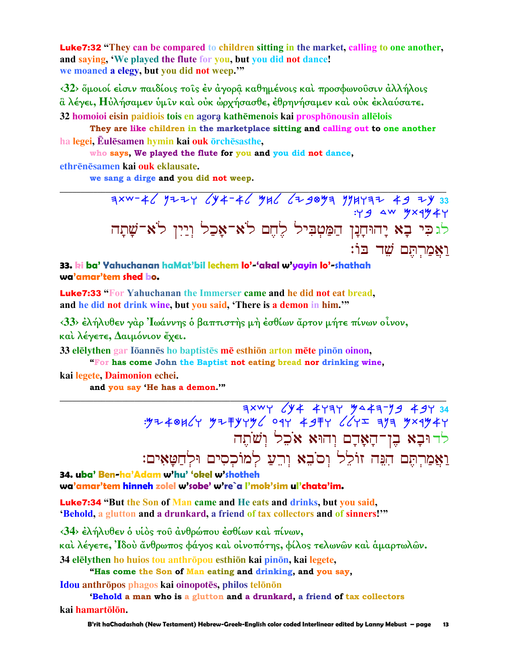**Luke7:32** "They can be compared to children sitting in the market, calling to one another, and saying, 'We played the flute for you, but you did not dance! we moaned a elegy, but you did not weep."

<32> δμοιοί είσιν παιδίοις τους έν άγορα καθημένοις και προσφωνούσιν άλλήλοις αλέγει, Η ύλήσαμεν ύμιν καί ούκ ώρχήσασθε, έθρηνήσαμεν καί ούκ έκλαύσατε. 32 homoioi eisin paidiois tois en agora kathēmenois kai prosphōnousin allēlois

They are like children in the marketplace sitting and calling out to one another ha legei, Eulēsamen hymin kai ouk örchēsasthe,

who says, We played the flute for you and you did not dance, ethrēnēsamen kai ouk eklausate.

we sang a dirge and you did not weep.

 $700046$  y224 (y4-4(yy) (230ya yyuraz 49 2y 33  $: Y 9$  aw  $X 4944$ לגבי בָא יָהוּחָנָן הַמַטְבִיל לֶחֶם לֹא־אָכַל וְיַיִן לֹא־שָׁתָה וַאֲמַרְחֵם שֵׁד בּוֹ:

#### 33. ki ba' Yahuchanan haMat'bil lechem lo'-'akal w'yayin lo'-shathah wa'amar'tem shed bo.

**Luke7:33** "For Yahuchanan the Immerser came and he did not eat bread, and he did not drink wine, but you said, 'There is a demon in him."

<33> έλήλυθεν γάρ 'Ιωάννης ο βαπτιστής μή έσθίων άρτον μήτε πίνων οίνον, και λέγετε, Δαιμόνιον έχει.

33 elelythen gar Iōannēs ho baptistēs mē esthiōn arton mēte pinōn oinon,

"For has come John the Baptist not eating bread nor drinking wine,

kai legete, Daimonion echei.

and you say 'He has a demon.""

 $7000$  PH ET-F4494 YA 4737 9437 8497 8497 944 4737 944 4754.<br>PHY ET-FY VA 754 4954 710 1945 944 4954 944 לרוּבָא בִן־הַאֲדָם וְהוּא אֹכֵל וְשֹׁתֵה וַאֲמַרְתֶּם הִגֲה זוֹלֵל וְסֹבֵא וְרֵעַ לְמוֹכִסִים וּלְחַטַּאִים:

34. uba' Ben-ha'Adam w'hu' 'okel w'shotheh wa'amar'tem hinneh zolel w'sobe' w're`a l'mok'sim ul'chata'im.

**Luke7:34** "But the Son of Man came and He eats and drinks, but you said, 'Behold, a glutton and a drunkard, a friend of tax collectors and of sinners!"

 $\langle 34 \rangle$  έλήλυθεν ο υίος του άνθρώπου έσθίων και πίνων,

και λέγετε, Ίδου ἄνθρωπος φάγος και οίνοπότης, φίλος τελωνῶν και ἁμαρτωλῶν.

34 elēlythen ho huios tou anthrōpou esthiōn kai pinōn, kai legete,

"Has come the Son of Man eating and drinking, and you say,

Idou anthrōpos phagos kai oinopotēs, philos telōnōn

'Behold a man who is a glutton and a drunkard, a friend of tax collectors kai hamartōlōn.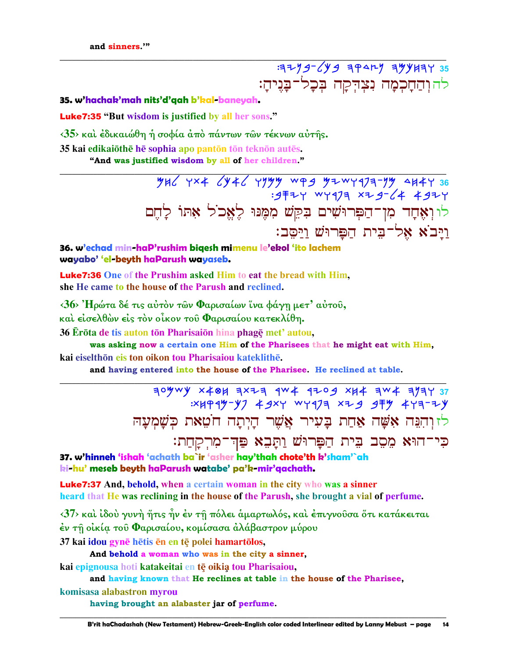# $735/79-199$   $494-7$   $799/197$  35 להוְהַחָכְמָה נִצְהִקָה בִּכָל־בָּנֵיהַ:

35. w'hachak'mah nits'd'gah b'kal-baneyah.

**Luke7:35 "But wisdom is justified by all her sons."** 

<35> και έδικαιώθη ή σοφία άπό πάντων των τέκνων αύτης.

35 kai edikaiōthē hē sophia apo pantōn tōn teknōn autēs.

"And was justified wisdom by all of her children."

 $YHC YX4 CY4C YYYY W99 W7977777777 W 4H4Y 36$ לו וְאָחָד מִן־הַפְּרוּשִׁים בִּקֵשׁ מִמֶּנוּ לֵ<mark>א</mark>ֵכ<sup>וֹ</sup>ל אָתוֹ לַחם וַיַּבֹא אֵל־בִּית הַפֵּרוּשׁ וַיַּסֵב:

36. w'echad min-haP'rushim biaesh mimeny le'ekol 'ito lachem wayabo' 'el-beyth haParush wayaseb.

Luke7:36 One of the Prushim asked Him to eat the bread with Him, she He came to the house of the Parush and reclined.

<36> Ήρώτα δέ τις αύτον των Φαρισαίων ίνα φάγη μετ' αύτου, και είσελθών είς τον οίκον του Φαρισαίου κατεκλίθη.

36 Ērōta de tis auton tōn Pharisaiōn hina phagē met' autou,

was asking now a certain one Him of the Pharisees that he might eat with Him, kai eiselthōn eis ton oikon tou Pharisaiou kateklithē.

and having entered into the house of the Pharisee. He reclined at table.

30ywy x40H 3x23 4w4 4209 xH4 3w4 3737 37 :XHP4Y-Y7 4 4XY WY473 XZ 4 4 7 4 4 7 3 - 2 Y לזוהִנָּה אָשָׁה אַחַת בָּעִיר אֲשֵׁר הָיִתָה חֹטֵאת כִּשָּׁמְעָהּ

כִּי־הוּא מֵסֵב בִּית הַפָּרוּשׁ וַתָּבָא פַּךְ־מִרְקָחַת:

37. w'hinneh 'ishah 'achath ba`ir 'asher hay'thah chote'th k'sham'`ah ki-hu' meseb beyth haParush watabe' pa'k-mir'qachath.

**Luke7:37** And, behold, when a certain woman in the city who was a sinner heard that He was reclining in the house of the Parush, she brought a vial of perfume.

 $\langle 37 \rangle$  και ίδου γυνή ήτις ήν έν τη πόλει αμαρτωλός, και επιγνούσα ότι κατάκειται έν τῆ οἰκία τοῦ Φαρισαίου, κομίσασα ἀλάβαστρον μύρου

37 kai idou gynē hētis ēn en tē polei hamartōlos,

And behold a woman who was in the city a sinner.

kai epignousa hoti katakeitai en tē oikia tou Pharisaiou,

and having known that He reclines at table in the house of the Pharisee.

komisasa alabastron myrou

having brought an alabaster jar of perfume.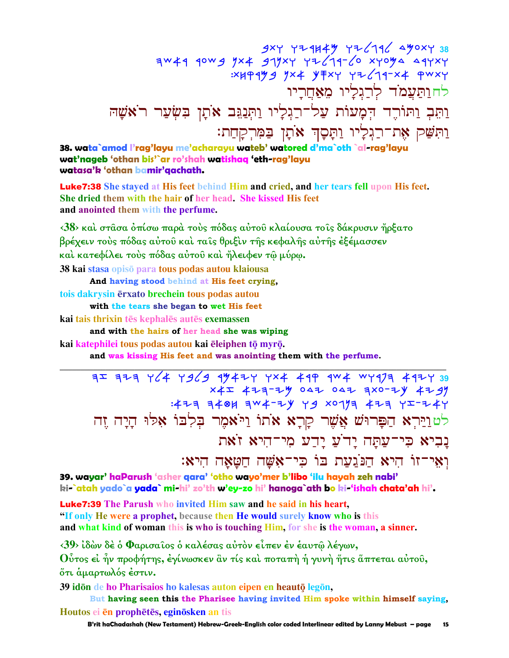<u>9XY YZ1H4Y YZ6196 AYOXY 38</u>  $\overline{a}$  am41 40w*g J*x4 *g*1Jxy yz/11-/0 xy0Ya aqyxy  $:xH94$  9  $yx$   $4$   $y$   $\mp$   $xy$   $y$   $\mp$   $z$   $(14-x)$   $4$   $\mp$   $w$  $xy$ <u>לחותעמד לרגליו מאחריו </u> וַתֵּב וַתּוֹרֵד דִּמֲעוֹת עַל־רַגִלְיו וַתִּנַגֵּב אֹתָן בִּשְׂעַר רֹאַשָׁה נּתִּשֵׁק אֶת־רַגְלְיוּ וַתָּסָךְ אֹתָן בַּמִּרְקָחַת:

**38. wata`amod l'rag'layu me'acharayu wateb' watored d'ma`oth `al-rag'layu wat'nageb 'othan bis'`ar ro'shah watishaq 'eth-rag'layu watasa'k 'othan bamir'qachath.**

Luke7:38 **She stayed at His feet behind Him and cried, and her tears fell upon His feet. She dried them with the hair of her head. She kissed His feet and anointed them with the perfume.** 

**‹38› καὶ στᾶσα ὀπίσω παρὰ τοὺς πόδας αὐτοῦ κλαίουσα τοῖς δάκρυσιν ἤρξατο βρέχειν τοὺς πόδας αὐτοῦ καὶ ταῖς θριξὶν τῆς κεφαλῆς αὐτῆς ἐξέµασσεν καὶ κατεφίλει τοὺς πόδας αὐτοῦ καὶ ἤλειφεν τῷ µύρῳ. 38 kai stasa opis para tous podas autou klaiousa** 

**And having stood behind at His feet crying,**

**tois dakrysin rxato brechein tous podas autou** 

**with the tears she began to wet His feet**

**kai tais thrixin tēs kephalēs autēs exemassen** 

**and with the hairs of her head she was wiping**

**kai katephilei tous podas autou kai ēleiphen tō myrō.** 

**and was kissing His feet and was anointing them with the perfume.** 

**\_\_\_\_\_\_\_\_\_\_\_\_\_\_\_\_\_\_\_\_\_\_\_\_\_\_\_\_\_\_\_\_\_\_\_\_\_\_\_\_\_\_\_\_\_\_\_\_\_\_\_\_\_\_\_\_\_\_\_\_\_\_\_\_\_\_\_\_\_\_\_\_\_\_\_\_\_\_\_\_\_\_\_\_\_\_\_\_\_\_\_\_\_**

 hz hyh wla wblb rmayw wta arq rca cwrph aryw **39**   $x4x + 477 - y$  oat oat  $x0 - 7$ y  $x7 - y$  $:477$   $7484$   $7472$   $79$  xo  $117$   $477$   $7274$ לטוַיַּרִא הַפֵּרוּשׁ אֲשֶׁר קַרָא אֹתוֹ וַיֹּאמֶר בִּלְבּוֹ אָלּוּ הַיַה זֶה בַּבְיא כִּי־עֲתַּה יַד<sup>ׂ</sup>עַ יַדַע מִי־הִיא זֹאת ואי־זוֹ היא הנוֹעת בוֹ כי־אֹשה חטאה היא:

**39. wayar' haParush 'asher qara' 'otho wayo'mer b'libo 'ilu hayah zeh nabi' ki-`atah yado`a yada` mi-hi' zo'th w'ey-zo hi' hanoga`ath bo ki-'ishah chata'ah hi'.**

Luke7:39 **The Parush who invited Him saw and he said in his heart, "If only He were a prophet, because then He would surely know who is this and what kind of woman this is who is touching Him, for she is the woman, a sinner.** 

**‹39› ἰδὼν δὲ ὁ Φαρισαῖος ὁ καλέσας αὐτὸν εἶπεν ἐν ἑαυτῷ λέγων,** 

**Οὗτος εἰ ἦν προφήτης, ἐγίνωσκεν ἂν τίς καὶ ποταπὴ ἡ γυνὴ ἥτις ἅπτεται αὐτοῦ, ὅτι ἁµαρτωλός ἐστιν.** 

**39 idon** de ho Pharisaios ho kalesas auton eipen en heauto legon,

**But having seen this the Pharisee having invited Him spoke within himself saying, Houtos** ei **en** prophetes, eginosken an tis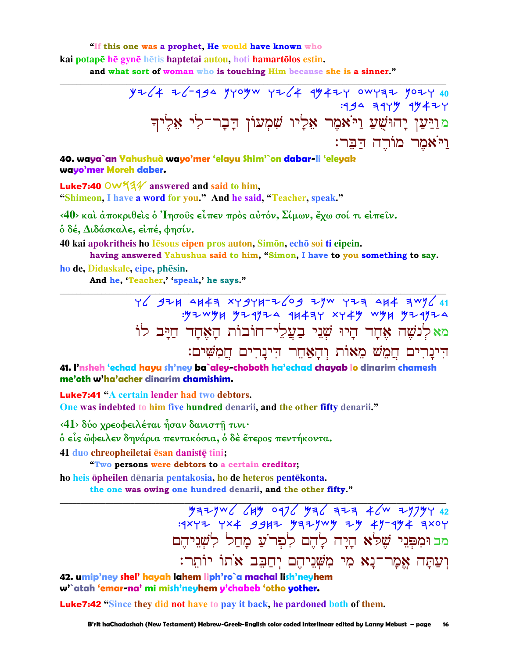"If this one was a prophet, He would have known who kai potapē hē gynē hētis haptetai autou, hoti hamartōlos estin. and what sort of woman who is touching Him because she is a sinner."

40. waya`an Yahushuà wayo'mer 'elayu Shim'`on dabar-li 'eleyak wavo'mer Moreh daber.

**Luke7:40**  $\circ$ w<sup>1</sup>3<sup>1</sup>/<sub>2</sub> answered and said to him, "Shimeon, I have a word for you." And he said, "Teacher, speak."

<40> και άποκριθείς ο Ίησους είπεν πρός αύτόν, Σίμων, έχω σοί τι είπειν.

 $\delta$  δέ, Διδάσκαλε, είπέ, φησίν.

40 kai apokritheis ho lesous eipen pros auton, Simon, echo soi ti eipein.

having answered Yahushua said to him, "Simon, I have to you something to say. ho de, Didaskale, eipe, phēsin.

And he, 'Teacher,' 'speak,' he says."

41. I'nsheh 'echad hayu sh'ney ba`aley-choboth ha'echad chayab lo dinarim chamesh me'oth w'ha'acher dinarim chamishim.

**Luke7:41** "A certain lender had two debtors.

One was indebted to him five hundred denarii, and the other fifty denarii."

<41> δύο χρεοφειλέται ήσαν δανιστή τινι·

ό εἶς ὤφειλεν δηνάρια πεντακόσια, ὁ δὲ ἔτερος πεντήκοντα.

41 duo chreopheiletai esan danistę tini;

"Two persons were debtors to a certain creditor;

ho heis opheilen denaria pentakosia, ho de heteros pentekonta. the one was owing one hundred denarii, and the other fifty."

> $42$  yazyw 6 644 0476 426 424 46 24744 42  $74 \times 4$   $7 \times 4$   $9917$   $9917$   $994$   $79$   $49 - 494$   $7 \times 4$ מב ומִפְּנֵי שֵׁלֵא הַיַה לַהֵם לִפְרֹעַ מַחַל לִשְׁנֵיהֵם וִעֲתָּה אֱמָר־נָא מִי מִשְׁנֵיהֵם יְחַבֵּב אֹתוֹ יוֹתֵר:

42. umip'ney shel' hayah lahem liph'ro`a machal lish'neyhem w'`atah 'emar-na' mi mish'neyhem y'chabeb 'otho yother.

**Luke7:42** "Since they did not have to pay it back, he pardoned both of them.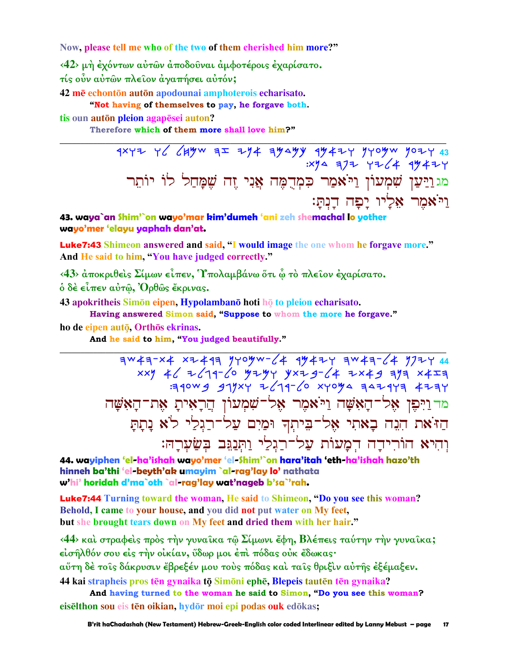Now, please tell me who of the two of them cherished him more?"

<42> μή έχόντων αύτων άποδούναι άμφοτέροις έχαρίσατο. τίς ούν αύτων πλείον άγαπήσει αύτόν;

42 mē echonto auto apodounai amphoterois echarisato.

"Not having of themselves to pay, he forgave both.

tis oun auton pleion agapesei auton?

Therefore which of them more shall love him?"

 $7$  4x42 46 (44yw  $7 = 74$  434 434yy 43424 740yw 7024 43  $354$   $377$   $776$   $49477$ מגַוַיַּעֲן שִׁמְעוֹן וַיֹּאָמַר כִּמְרֻמֶּה אֲנִי זֶה שֵׁמַּחַל לוֹ יוֹתֵר ויאמר אליו יפה דנת:

43. waya`an Shim'`on wayo'mar kim'dumeh 'ani zeh shemachal lo yother wayo'mer 'elayu yaphah dan'at.

Luke7:43 Shimeon answered and said, "I would image the one whom he forgave more." And He said to him, "You have judged correctly."

<43> άποκριθείς Σίμων είπεν, Υπολαμβάνω ὅτι ὧ τὸ πλειον έχαρίσατο.

 $\delta$  δέ είπεν αύτω, Όρθως έκρινας.

43 apokritheis Simon eipen, Hypolambano hoti ho to pleion echarisato.

Having answered Simon said, "Suppose to whom the more he forgave."

ho de eipen autō, Orthōs ekrinas.

And he said to him, "You judged beautifully."

 $=340W9$  979xy 2/19-60 xyoya 3429y3 4234 מד וַיִּפֵן אֱל־הָאָשָׁה וַיֹּאמֵר אֶל־שִׁמְעוֹן הֲרָאִיתָ אֶת־הָאָשָׁה הַזֹּאת הִנֵה בָאתִי אֵל־בִּיתִךְ וּמַיִם עַל־רַגִלַי לֹא נָתָתָ וְהִיא הוֹרִידַה הִמֲעוֹת עֲלֹ־רַגִּלַי וַתְּנַגְּב בְּשַׂעִרַהּ:

44. wayiphen 'el-ha'ishah wayo'mer 'el-Shim'`on hara'itah 'eth-ha'ishah hazo'th hinneh ba'thi 'el-beyth'ak umayim `al-rag'lay lo' nathata w'hi' horidah d'ma`oth `al-rag'lay wat'nageb b'sa`'rah.

**Luke7:44** Turning toward the woman, He said to Shimeon, "Do you see this woman? Behold, I came to your house, and you did not put water on My feet, but she brought tears down on My feet and dried them with her hair."

 $\langle 44 \rangle$  και στραφείς πρός την γυναίκα τω Σίμωνι έφη, Βλέπεις ταύτην την γυναίκα; είσηλθόν σου είς την οικίαν, ύδωρ μοι έπι πόδας ούκ έδωκας· αύτη δέ τοις δάκρυσιν έβρεξέν μου τους πόδας και ταις θριξιν αυτής έξέμαξεν. 44 kai strapheis pros tēn gynaika tō Simōni ephē, Blepeis tautēn tēn gynaika?

And having turned to the woman he said to Simon, "Do you see this woman? eisēlthon sou eis tēn oikian, hydōr moi epi podas ouk edōkas;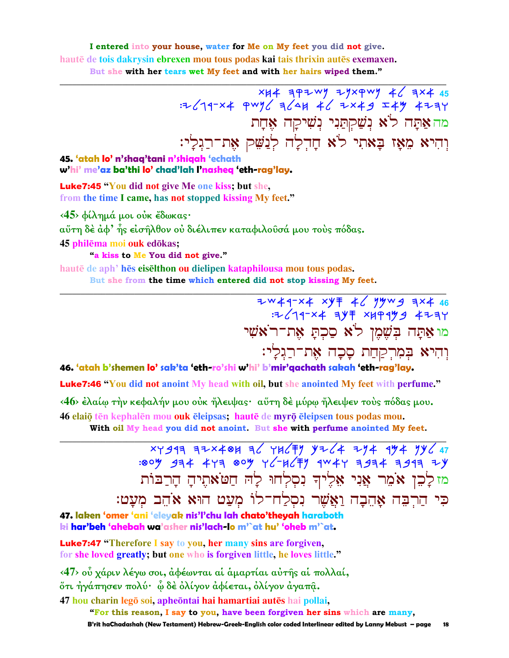I entered into your house, water for Me on My feet you did not give. hautē de tois dakrysin ebrexen mou tous podas kai tais thrixin autēs exemaxen. But she with her tears wet My feet and with her hairs wiped them."

> $x + 4 = 3 + 2$ <br> $x + 4 = 3 + 2 + 3 + 4$ <br> $x + 5 = 2 + 3 + 3 + 4 + 4$ מה אַתַּה לֹא נִשַּׁקִתֲנִי נִשִּׁיקַה אָחַת וְהִיא מֵאָז בָּאתִי לֹא חַדְלַה לְנַשֵּׁק אַת־רַגִּלֵי:

45. 'atah lo' n'shaq'tani n'shiqah 'echath w'hi' me'az ba'thi lo' chad'lah l'nasheq 'eth-rag'lay.

Luke7:45 "You did not give Me one kiss; but she, from the time I came, has not stopped kissing My feet."

<45> φίλημά μοι ούκ έδωκας· αΰτη δέ άφ' ής είσηλθον ού διέλιπεν καταφιλούσά μου τούς πόδας. 45 philēma moi ouk edōkas;

"a kiss to Me You did not give."

hautē de aph' hes eiselthon ou dielipen kataphilousa mou tous podas.

But she from the time which entered did not stop kissing My feet.

:2 (11-x4 3 ) = x 4 9 4 9 4 2 3 4 מו אַתַּה בִּשֶׁמֵן לֹא סַכְתַּ אָת־רֹאשִׁי וְהִיא בְמִרְקַחַת סָכָה אֵת־רַגִלָי:

46. 'atah b'shemen lo' sak'ta 'eth-ro'shi w'hi' b'mir'qachath sakah 'eth-rag'lay.

**Luke7:46** "You did not anoint My head with oil, but she anointed My feet with perfume."

 $\langle 46 \rangle$  έλαίω την κεφαλήν μου ούκ ήλειψας· αύτη δέ μύρω ήλειψεν τους πόδας μου. 46 elaiō tēn kephalēn mou ouk ēleipsas; hautē de myrō ēleipsen tous podas mou. With oil My head you did not anoint. But she with perfume anointed My feet.

> XY917 72X40H 76 YH67Y Y264 294 194 7964<br>1994 374 477 009 Y6-H67Y 104Y 7974 7977 מז לָכֵן אֹמֵר אֲנִי אֵלִיךְ נִסְלְחוּ לָה חַטֹּאתֵיהָ הָרַבּוֹת כִּי הַרְבָּה אָהֶבָה וַאֲשֶׁר נִסְלַח־לוֹ מִעֲט הוּא אֹהֶב מִעֲט:

47. laken 'omer 'ani 'eleyak nis'l'chu lah chato'theyah haraboth ki har'beh 'ahebah wa'asher nis'lach-lo m'`at hu' 'oheb m'`at.

**Luke7:47** "Therefore I say to you, her many sins are forgiven, for she loved greatly; but one who is forgiven little, he loves little."

<47> οὖ χάριν λέγω σοι, ἀφέωνται αί ἁμαρτίαι αὐτῆς αί πολλαί, őτι ήγάπησεν πολύ· ὧ δε όλίγον άφίεται, όλίγον άγαπậ. 47 hou charin legō soi, apheōntai hai hamartiai autēs hai pollai,

"For this reason, I say to you, have been forgiven her sins which are many,

B'rit haChadashah (New Testament) Hebrew-Greek-English color coded Interlinear edited by Lanny Mebust - page 18